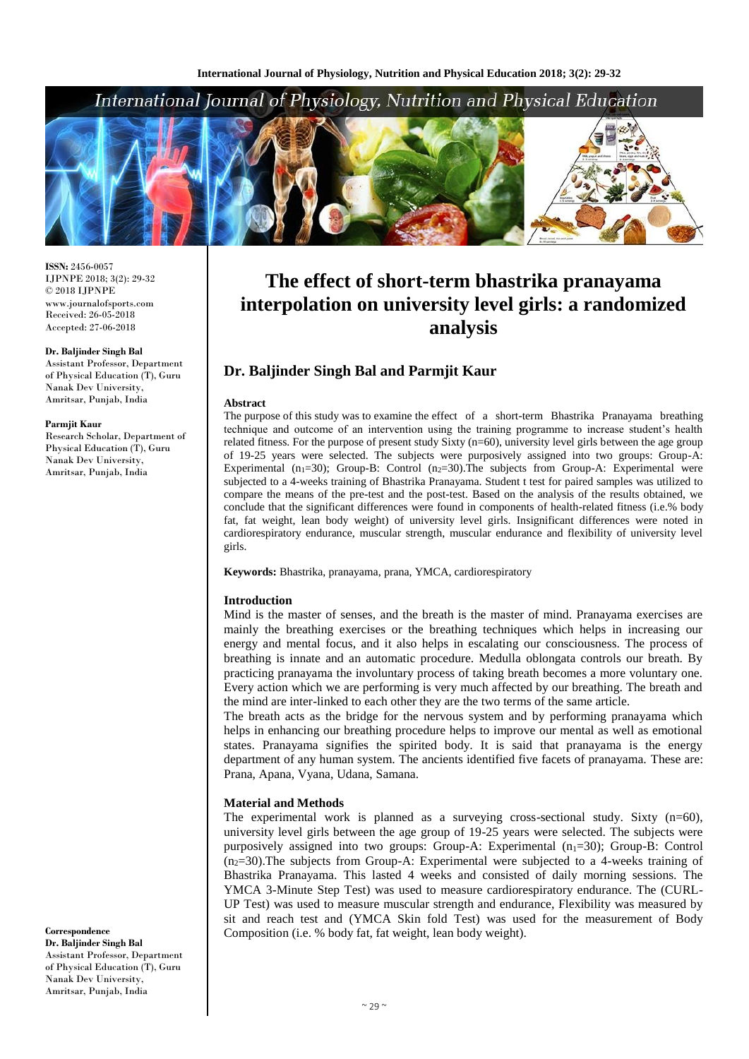## International Journal of Physiology, Nutrition and Physical Education



**ISSN:** 2456-0057 IJPNPE 2018; 3(2): 29-32  $\odot$  2018 IJPNPE www.journalofsports.com Received: 26-05-2018 Accepted: 27-06-2018

#### **Dr. Baljinder Singh Bal**

Assistant Professor, Department of Physical Education (T), Guru Nanak Dev University, Amritsar, Punjab, India

#### **Parmjit Kaur**

Research Scholar, Department of Physical Education (T), Guru Nanak Dev University, Amritsar, Punjab, India

# **The effect of short-term bhastrika pranayama interpolation on university level girls: a randomized analysis**

## **Dr. Baljinder Singh Bal and Parmjit Kaur**

#### **Abstract**

The purpose of this study was to examine the effect of a short-term Bhastrika Pranayama breathing technique and outcome of an intervention using the training programme to increase student's health related fitness. For the purpose of present study Sixty (n=60), university level girls between the age group of 19-25 years were selected. The subjects were purposively assigned into two groups: Group-A: Experimental ( $n_1$ =30); Group-B: Control ( $n_2$ =30). The subjects from Group-A: Experimental were subjected to a 4-weeks training of Bhastrika Pranayama. Student t test for paired samples was utilized to compare the means of the pre-test and the post-test. Based on the analysis of the results obtained, we conclude that the significant differences were found in components of health-related fitness (i.e.% body fat, fat weight, lean body weight) of university level girls. Insignificant differences were noted in cardiorespiratory endurance, muscular strength, muscular endurance and flexibility of university level girls.

**Keywords:** Bhastrika, pranayama, prana, YMCA, cardiorespiratory

#### **Introduction**

Mind is the master of senses, and the breath is the master of mind. Pranayama exercises are mainly the breathing exercises or the breathing techniques which helps in increasing our energy and mental focus, and it also helps in escalating our consciousness. The process of breathing is innate and an automatic procedure. Medulla oblongata controls our breath. By practicing pranayama the involuntary process of taking breath becomes a more voluntary one. Every action which we are performing is very much affected by our breathing. The breath and the mind are inter-linked to each other they are the two terms of the same article.

The breath acts as the bridge for the nervous system and by performing pranayama which helps in enhancing our breathing procedure helps to improve our mental as well as emotional states. Pranayama signifies the spirited body. It is said that pranayama is the energy department of any human system. The ancients identified five facets of pranayama. These are: Prana, Apana, Vyana, Udana, Samana.

#### **Material and Methods**

The experimental work is planned as a surveying cross-sectional study. Sixty  $(n=60)$ , university level girls between the age group of 19-25 years were selected. The subjects were purposively assigned into two groups: Group-A: Experimental  $(n_1=30)$ ; Group-B: Control  $(n=30)$ . The subjects from Group-A: Experimental were subjected to a 4-weeks training of Bhastrika Pranayama. This lasted 4 weeks and consisted of daily morning sessions. The YMCA 3-Minute Step Test) was used to measure cardiorespiratory endurance. The (CURL-UP Test) was used to measure muscular strength and endurance, Flexibility was measured by sit and reach test and (YMCA Skin fold Test) was used for the measurement of Body Composition (i.e. % body fat, fat weight, lean body weight).

**Correspondence Dr. Baljinder Singh Bal** Assistant Professor, Department of Physical Education (T), Guru Nanak Dev University, Amritsar, Punjab, India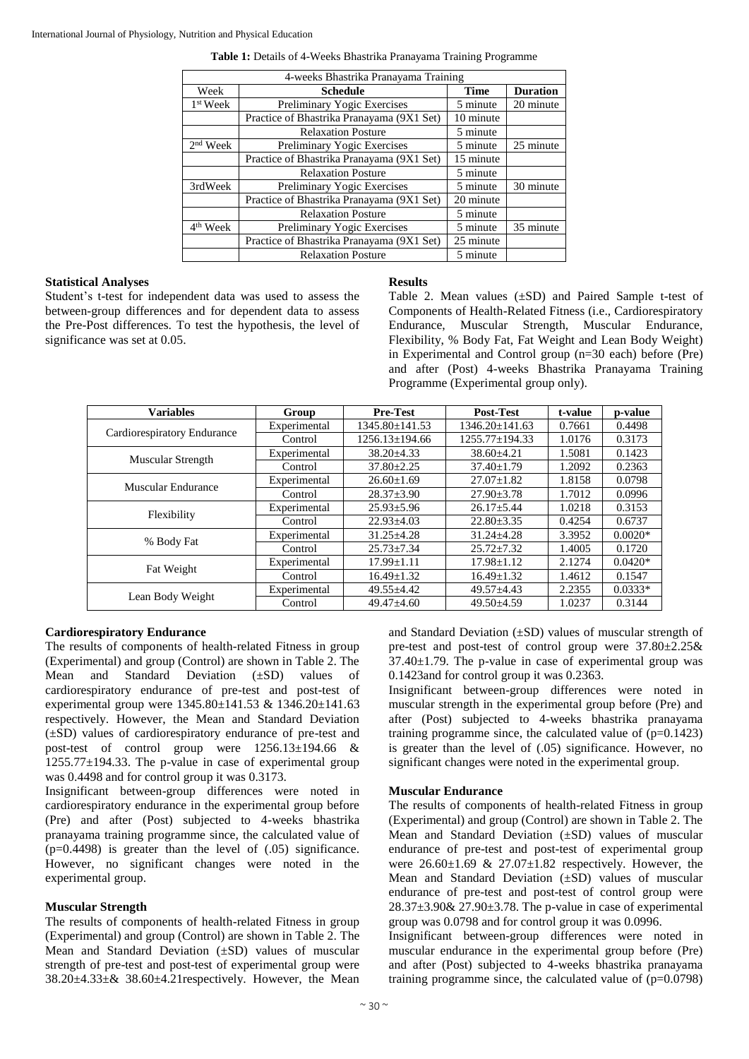| Table 1: Details of 4-Weeks Bhastrika Pranayama Training Programme |  |  |
|--------------------------------------------------------------------|--|--|
|--------------------------------------------------------------------|--|--|

| 4-weeks Bhastrika Pranayama Training |                                           |                       |                 |  |  |
|--------------------------------------|-------------------------------------------|-----------------------|-----------------|--|--|
| Week                                 | <b>Schedule</b>                           | <b>Time</b>           | <b>Duration</b> |  |  |
| 1 <sup>st</sup> Week                 | Preliminary Yogic Exercises               | 5 minute<br>20 minute |                 |  |  |
|                                      | Practice of Bhastrika Pranayama (9X1 Set) | 10 minute             |                 |  |  |
|                                      | <b>Relaxation Posture</b>                 | 5 minute              |                 |  |  |
| $2nd$ Week                           | Preliminary Yogic Exercises               | 5 minute              | 25 minute       |  |  |
|                                      | Practice of Bhastrika Pranayama (9X1 Set) | 15 minute             |                 |  |  |
|                                      | <b>Relaxation Posture</b>                 | 5 minute              |                 |  |  |
| 3rdWeek                              | Preliminary Yogic Exercises               | 5 minute              | 30 minute       |  |  |
|                                      | Practice of Bhastrika Pranayama (9X1 Set) | 20 minute             |                 |  |  |
|                                      | <b>Relaxation Posture</b>                 | 5 minute              |                 |  |  |
| $\overline{4}^{\text{th}}$ Week      | Preliminary Yogic Exercises               | 5 minute              | 35 minute       |  |  |
|                                      | Practice of Bhastrika Pranayama (9X1 Set) | 25 minute             |                 |  |  |
|                                      | <b>Relaxation Posture</b>                 | 5 minute              |                 |  |  |

#### **Statistical Analyses**

Student's t-test for independent data was used to assess the between-group differences and for dependent data to assess the Pre-Post differences. To test the hypothesis, the level of significance was set at 0.05.

#### **Results**

Table 2. Mean values  $(\pm SD)$  and Paired Sample t-test of Components of Health-Related Fitness (i.e., Cardiorespiratory Endurance, Muscular Strength, Muscular Endurance, Flexibility, % Body Fat, Fat Weight and Lean Body Weight) in Experimental and Control group (n=30 each) before (Pre) and after (Post) 4-weeks Bhastrika Pranayama Training Programme (Experimental group only).

| <b>Variables</b>            | Group        | <b>Pre-Test</b>      | <b>Post-Test</b> | t-value | p-value   |
|-----------------------------|--------------|----------------------|------------------|---------|-----------|
| Cardiorespiratory Endurance | Experimental | 1345.80±141.53       | 1346.20±141.63   | 0.7661  | 0.4498    |
|                             | Control      | $1256.13 \pm 194.66$ | 1255.77±194.33   | 1.0176  | 0.3173    |
| Muscular Strength           | Experimental | $38.20 \pm 4.33$     | $38.60 \pm 4.21$ | 1.5081  | 0.1423    |
|                             | Control      | $37.80 \pm 2.25$     | $37.40 \pm 1.79$ | 1.2092  | 0.2363    |
| Muscular Endurance          | Experimental | $26.60 \pm 1.69$     | $27.07 \pm 1.82$ | 1.8158  | 0.0798    |
|                             | Control      | $28.37 \pm 3.90$     | $27.90 \pm 3.78$ | 1.7012  | 0.0996    |
| Flexibility                 | Experimental | $25.93 \pm 5.96$     | $26.17 \pm 5.44$ | 1.0218  | 0.3153    |
|                             | Control      | $22.93 \pm 4.03$     | $22.80 \pm 3.35$ | 0.4254  | 0.6737    |
| % Body Fat                  | Experimental | $31.25 \pm 4.28$     | $31.24 + 4.28$   | 3.3952  | $0.0020*$ |
|                             | Control      | $25.73 \pm 7.34$     | $25.72 + 7.32$   | 1.4005  | 0.1720    |
| Fat Weight                  | Experimental | $17.99 \pm 1.11$     | $17.98 \pm 1.12$ | 2.1274  | $0.0420*$ |
|                             | Control      | $16.49 \pm 1.32$     | $16.49 \pm 1.32$ | 1.4612  | 0.1547    |
| Lean Body Weight            | Experimental | $49.55 \pm 4.42$     | $49.57 \pm 4.43$ | 2.2355  | $0.0333*$ |
|                             | Control      | $49.47 \pm 4.60$     | $49.50 \pm 4.59$ | 1.0237  | 0.3144    |

## **Cardiorespiratory Endurance**

The results of components of health-related Fitness in group (Experimental) and group (Control) are shown in Table 2. The Mean and Standard Deviation (±SD) values of cardiorespiratory endurance of pre-test and post-test of experimental group were 1345.80±141.53 & 1346.20±141.63 respectively. However, the Mean and Standard Deviation (±SD) values of cardiorespiratory endurance of pre-test and post-test of control group were 1256.13±194.66 &  $1255.77\pm194.33$ . The p-value in case of experimental group was 0.4498 and for control group it was 0.3173.

Insignificant between-group differences were noted in cardiorespiratory endurance in the experimental group before (Pre) and after (Post) subjected to 4-weeks bhastrika pranayama training programme since, the calculated value of  $(p=0.4498)$  is greater than the level of  $(.05)$  significance. However, no significant changes were noted in the experimental group.

## **Muscular Strength**

The results of components of health-related Fitness in group (Experimental) and group (Control) are shown in Table 2. The Mean and Standard Deviation (±SD) values of muscular strength of pre-test and post-test of experimental group were 38.20±4.33±& 38.60±4.21respectively. However, the Mean

and Standard Deviation  $(\pm SD)$  values of muscular strength of pre-test and post-test of control group were  $37.80 \pm 2.25 \&$  $37.40 \pm 1.79$ . The p-value in case of experimental group was 0.1423and for control group it was 0.2363.

Insignificant between-group differences were noted in muscular strength in the experimental group before (Pre) and after (Post) subjected to 4-weeks bhastrika pranayama training programme since, the calculated value of  $(p=0.1423)$ is greater than the level of (.05) significance. However, no significant changes were noted in the experimental group.

#### **Muscular Endurance**

The results of components of health-related Fitness in group (Experimental) and group (Control) are shown in Table 2. The Mean and Standard Deviation  $(\pm SD)$  values of muscular endurance of pre-test and post-test of experimental group were  $26.60\pm1.69$  &  $27.07\pm1.82$  respectively. However, the Mean and Standard Deviation  $(\pm SD)$  values of muscular endurance of pre-test and post-test of control group were  $28.37\pm3.90\& 27.90\pm3.78$ . The p-value in case of experimental group was 0.0798 and for control group it was 0.0996.

Insignificant between-group differences were noted in muscular endurance in the experimental group before (Pre) and after (Post) subjected to 4-weeks bhastrika pranayama training programme since, the calculated value of  $(p=0.0798)$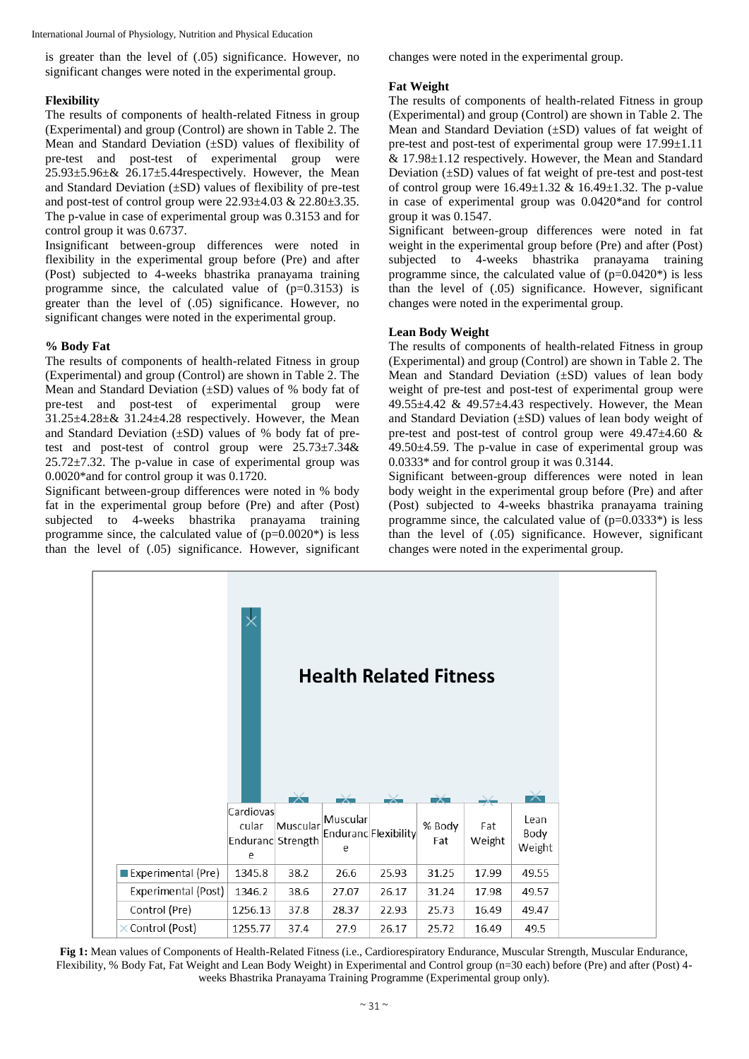International Journal of Physiology, Nutrition and Physical Education

is greater than the level of (.05) significance. However, no significant changes were noted in the experimental group.

## **Flexibility**

The results of components of health-related Fitness in group (Experimental) and group (Control) are shown in Table 2. The Mean and Standard Deviation (±SD) values of flexibility of pre-test and post-test of experimental group were  $25.93\pm5.96\pm\& 26.17\pm5.44$ respectively. However, the Mean and Standard Deviation  $(\pm SD)$  values of flexibility of pre-test and post-test of control group were  $22.93\pm4.03$  &  $22.80\pm3.35$ . The p-value in case of experimental group was 0.3153 and for control group it was 0.6737.

Insignificant between-group differences were noted in flexibility in the experimental group before (Pre) and after (Post) subjected to 4-weeks bhastrika pranayama training programme since, the calculated value of (p=0.3153) is greater than the level of (.05) significance. However, no significant changes were noted in the experimental group.

## **% Body Fat**

The results of components of health-related Fitness in group (Experimental) and group (Control) are shown in Table 2. The Mean and Standard Deviation (±SD) values of % body fat of pre-test and post-test of experimental group were  $31.25\pm4.28\pm8.31.24\pm4.28$  respectively. However, the Mean and Standard Deviation  $(\pm SD)$  values of % body fat of pretest and post-test of control group were 25.73±7.34&  $25.72 \pm 7.32$ . The p-value in case of experimental group was 0.0020\*and for control group it was 0.1720.

Significant between-group differences were noted in % body fat in the experimental group before (Pre) and after (Post) subjected to 4-weeks bhastrika pranayama training programme since, the calculated value of  $(p=0.0020^*)$  is less than the level of (.05) significance. However, significant changes were noted in the experimental group.

## **Fat Weight**

The results of components of health-related Fitness in group (Experimental) and group (Control) are shown in Table 2. The Mean and Standard Deviation (±SD) values of fat weight of pre-test and post-test of experimental group were 17.99±1.11 & 17.98±1.12 respectively. However, the Mean and Standard Deviation  $(\pm SD)$  values of fat weight of pre-test and post-test of control group were  $16.49 \pm 1.32 \& 16.49 \pm 1.32$ . The p-value in case of experimental group was 0.0420\*and for control group it was 0.1547.

Significant between-group differences were noted in fat weight in the experimental group before (Pre) and after (Post) subjected to 4-weeks bhastrika pranayama training programme since, the calculated value of  $(p=0.0420^*)$  is less than the level of (.05) significance. However, significant changes were noted in the experimental group.

## **Lean Body Weight**

The results of components of health-related Fitness in group (Experimental) and group (Control) are shown in Table 2. The Mean and Standard Deviation  $(\pm SD)$  values of lean body weight of pre-test and post-test of experimental group were 49.55 $\pm$ 4.42 & 49.57 $\pm$ 4.43 respectively. However, the Mean and Standard Deviation (±SD) values of lean body weight of pre-test and post-test of control group were  $49.47 \pm 4.60 \&$  $49.50 \pm 4.59$ . The p-value in case of experimental group was 0.0333\* and for control group it was 0.3144.

Significant between-group differences were noted in lean body weight in the experimental group before (Pre) and after (Post) subjected to 4-weeks bhastrika pranayama training programme since, the calculated value of  $(p=0.0333*)$  is less than the level of (.05) significance. However, significant changes were noted in the experimental group.



**Fig 1:** Mean values of Components of Health-Related Fitness (i.e., Cardiorespiratory Endurance, Muscular Strength, Muscular Endurance, Flexibility, % Body Fat, Fat Weight and Lean Body Weight) in Experimental and Control group (n=30 each) before (Pre) and after (Post) 4 weeks Bhastrika Pranayama Training Programme (Experimental group only).